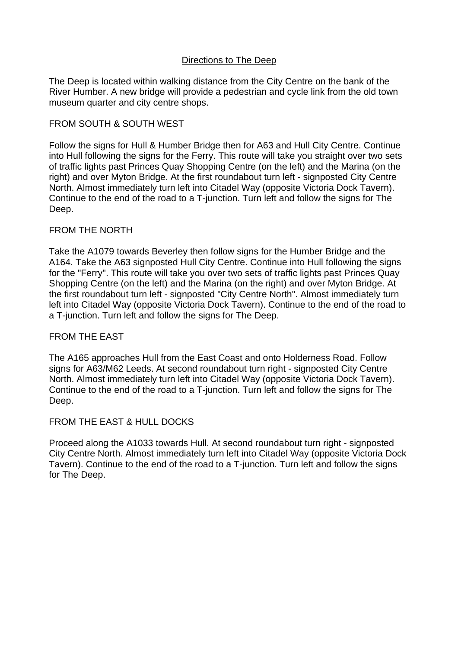### Directions to The Deep

The Deep is located within walking distance from the City Centre on the bank of the River Humber. A new bridge will provide a pedestrian and cycle link from the old town museum quarter and city centre shops.

## FROM SOUTH & SOUTH WEST

Follow the signs for Hull & Humber Bridge then for A63 and Hull City Centre. Continue into Hull following the signs for the Ferry. This route will take you straight over two sets of traffic lights past Princes Quay Shopping Centre (on the left) and the Marina (on the right) and over Myton Bridge. At the first roundabout turn left - signposted City Centre North. Almost immediately turn left into Citadel Way (opposite Victoria Dock Tavern). Continue to the end of the road to a T-junction. Turn left and follow the signs for The Deep.

### FROM THE NORTH

Take the A1079 towards Beverley then follow signs for the Humber Bridge and the A164. Take the A63 signposted Hull City Centre. Continue into Hull following the signs for the "Ferry". This route will take you over two sets of traffic lights past Princes Quay Shopping Centre (on the left) and the Marina (on the right) and over Myton Bridge. At the first roundabout turn left - signposted "City Centre North". Almost immediately turn left into Citadel Way (opposite Victoria Dock Tavern). Continue to the end of the road to a T-junction. Turn left and follow the signs for The Deep.

### FROM THE EAST

The A165 approaches Hull from the East Coast and onto Holderness Road. Follow signs for A63/M62 Leeds. At second roundabout turn right - signposted City Centre North. Almost immediately turn left into Citadel Way (opposite Victoria Dock Tavern). Continue to the end of the road to a T-junction. Turn left and follow the signs for The Deep.

# FROM THE EAST & HULL DOCKS

Proceed along the A1033 towards Hull. At second roundabout turn right - signposted City Centre North. Almost immediately turn left into Citadel Way (opposite Victoria Dock Tavern). Continue to the end of the road to a T-junction. Turn left and follow the signs for The Deep.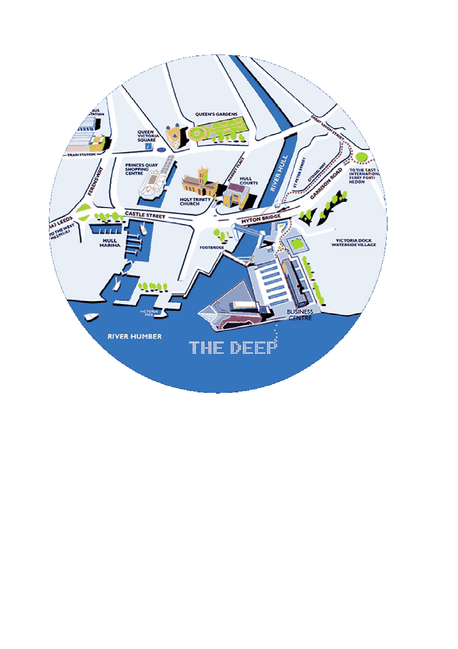